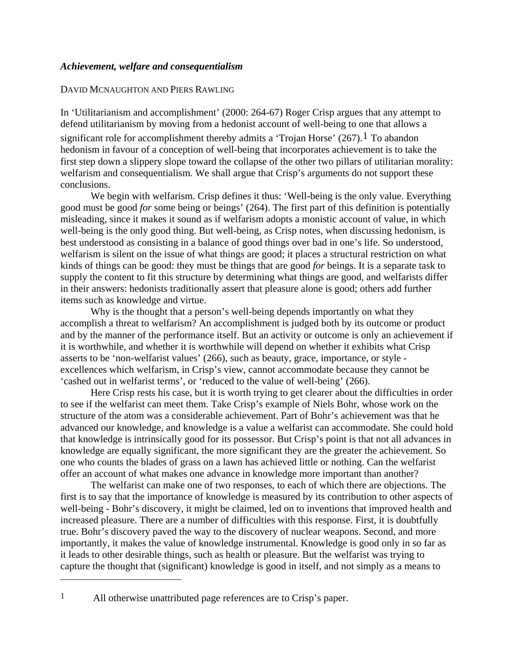## *Achievement, welfare and consequentialism*

## DAVID MCNAUGHTON AND PIERS RAWLING

In 'Utilitarianism and accomplishment' (2000: 264-67) Roger Crisp argues that any attempt to defend utilitarianism by moving from a hedonist account of well-being to one that allows a significant role for accomplishment thereby admits a 'Trojan Horse'  $(267)$ .<sup>[1](#page-0-0)</sup> To abandon hedonism in favour of a conception of well-being that incorporates achievement is to take the first step down a slippery slope toward the collapse of the other two pillars of utilitarian morality: welfarism and consequentialism. We shall argue that Crisp's arguments do not support these conclusions.

We begin with welfarism. Crisp defines it thus: 'Well-being is the only value. Everything good must be good *for* some being or beings' (264). The first part of this definition is potentially misleading, since it makes it sound as if welfarism adopts a monistic account of value, in which well-being is the only good thing. But well-being, as Crisp notes, when discussing hedonism, is best understood as consisting in a balance of good things over bad in one's life. So understood, welfarism is silent on the issue of what things are good; it places a structural restriction on what kinds of things can be good: they must be things that are good *for* beings. It is a separate task to supply the content to fit this structure by determining what things are good, and welfarists differ in their answers: hedonists traditionally assert that pleasure alone is good; others add further items such as knowledge and virtue.

 Why is the thought that a person's well-being depends importantly on what they accomplish a threat to welfarism? An accomplishment is judged both by its outcome or product and by the manner of the performance itself. But an activity or outcome is only an achievement if it is worthwhile, and whether it is worthwhile will depend on whether it exhibits what Crisp asserts to be 'non-welfarist values' (266), such as beauty, grace, importance, or style excellences which welfarism, in Crisp's view, cannot accommodate because they cannot be 'cashed out in welfarist terms', or 'reduced to the value of well-being' (266).

 Here Crisp rests his case, but it is worth trying to get clearer about the difficulties in order to see if the welfarist can meet them. Take Crisp's example of Niels Bohr, whose work on the structure of the atom was a considerable achievement. Part of Bohr's achievement was that he advanced our knowledge, and knowledge is a value a welfarist can accommodate. She could hold that knowledge is intrinsically good for its possessor. But Crisp's point is that not all advances in knowledge are equally significant, the more significant they are the greater the achievement. So one who counts the blades of grass on a lawn has achieved little or nothing. Can the welfarist offer an account of what makes one advance in knowledge more important than another?

The welfarist can make one of two responses, to each of which there are objections. The first is to say that the importance of knowledge is measured by its contribution to other aspects of well-being - Bohr's discovery, it might be claimed, led on to inventions that improved health and increased pleasure. There are a number of difficulties with this response. First, it is doubtfully true. Bohr's discovery paved the way to the discovery of nuclear weapons. Second, and more importantly, it makes the value of knowledge instrumental. Knowledge is good only in so far as it leads to other desirable things, such as health or pleasure. But the welfarist was trying to capture the thought that (significant) knowledge is good in itself, and not simply as a means to

l

<span id="page-0-0"></span><sup>1</sup> All otherwise unattributed page references are to Crisp's paper.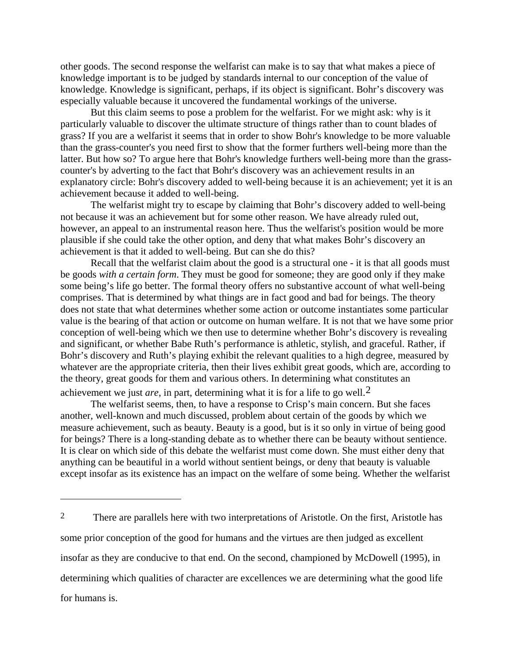other goods. The second response the welfarist can make is to say that what makes a piece of knowledge important is to be judged by standards internal to our conception of the value of knowledge. Knowledge is significant, perhaps, if its object is significant. Bohr's discovery was especially valuable because it uncovered the fundamental workings of the universe.

 But this claim seems to pose a problem for the welfarist. For we might ask: why is it particularly valuable to discover the ultimate structure of things rather than to count blades of grass? If you are a welfarist it seems that in order to show Bohr's knowledge to be more valuable than the grass-counter's you need first to show that the former furthers well-being more than the latter. But how so? To argue here that Bohr's knowledge furthers well-being more than the grasscounter's by adverting to the fact that Bohr's discovery was an achievement results in an explanatory circle: Bohr's discovery added to well-being because it is an achievement; yet it is an achievement because it added to well-being.

The welfarist might try to escape by claiming that Bohr's discovery added to well-being not because it was an achievement but for some other reason. We have already ruled out, however, an appeal to an instrumental reason here. Thus the welfarist's position would be more plausible if she could take the other option, and deny that what makes Bohr's discovery an achievement is that it added to well-being. But can she do this?

 Recall that the welfarist claim about the good is a structural one - it is that all goods must be goods *with a certain form*. They must be good for someone; they are good only if they make some being's life go better. The formal theory offers no substantive account of what well-being comprises. That is determined by what things are in fact good and bad for beings. The theory does not state that what determines whether some action or outcome instantiates some particular value is the bearing of that action or outcome on human welfare. It is not that we have some prior conception of well-being which we then use to determine whether Bohr's discovery is revealing and significant, or whether Babe Ruth's performance is athletic, stylish, and graceful. Rather, if Bohr's discovery and Ruth's playing exhibit the relevant qualities to a high degree, measured by whatever are the appropriate criteria, then their lives exhibit great goods, which are, according to the theory, great goods for them and various others. In determining what constitutes an achievement we just *are*, in part, determining what it is for a life to go well.[2](#page-1-0)

 The welfarist seems, then, to have a response to Crisp's main concern. But she faces another, well-known and much discussed, problem about certain of the goods by which we measure achievement, such as beauty. Beauty is a good, but is it so only in virtue of being good for beings? There is a long-standing debate as to whether there can be beauty without sentience. It is clear on which side of this debate the welfarist must come down. She must either deny that anything can be beautiful in a world without sentient beings, or deny that beauty is valuable except insofar as its existence has an impact on the welfare of some being. Whether the welfarist

l

<span id="page-1-0"></span> $2 \text{ There are parallels here with two interpretations of Aristotle. On the first, Aristotle has }$ some prior conception of the good for humans and the virtues are then judged as excellent insofar as they are conducive to that end. On the second, championed by McDowell (1995), in determining which qualities of character are excellences we are determining what the good life for humans is.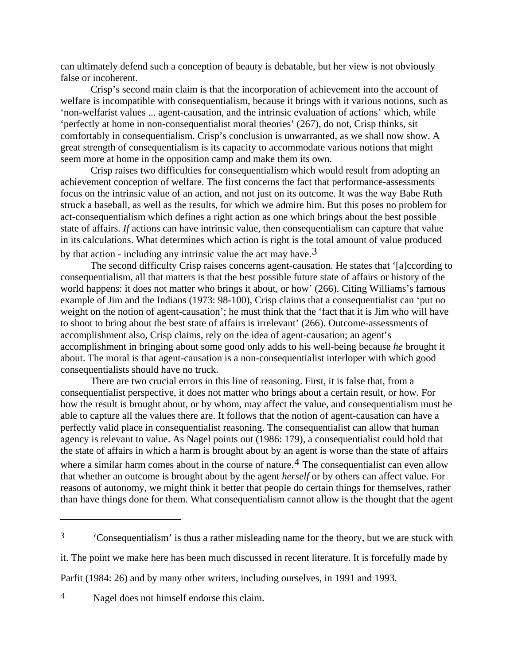can ultimately defend such a conception of beauty is debatable, but her view is not obviously false or incoherent.

 Crisp's second main claim is that the incorporation of achievement into the account of welfare is incompatible with consequentialism, because it brings with it various notions, such as 'non-welfarist values ... agent-causation, and the intrinsic evaluation of actions' which, while 'perfectly at home in non-consequentialist moral theories' (267), do not, Crisp thinks, sit comfortably in consequentialism. Crisp's conclusion is unwarranted, as we shall now show. A great strength of consequentialism is its capacity to accommodate various notions that might seem more at home in the opposition camp and make them its own.

 Crisp raises two difficulties for consequentialism which would result from adopting an achievement conception of welfare. The first concerns the fact that performance-assessments focus on the intrinsic value of an action, and not just on its outcome. It was the way Babe Ruth struck a baseball, as well as the results, for which we admire him. But this poses no problem for act-consequentialism which defines a right action as one which brings about the best possible state of affairs. *If* actions can have intrinsic value, then consequentialism can capture that value in its calculations. What determines which action is right is the total amount of value produced by that action - including any intrinsic value the act may have.[3](#page-2-0)

 The second difficulty Crisp raises concerns agent-causation. He states that '[a]ccording to consequentialism, all that matters is that the best possible future state of affairs or history of the world happens: it does not matter who brings it about, or how' (266). Citing Williams's famous example of Jim and the Indians (1973: 98-100), Crisp claims that a consequentialist can 'put no weight on the notion of agent-causation'; he must think that the 'fact that it is Jim who will have to shoot to bring about the best state of affairs is irrelevant' (266). Outcome-assessments of accomplishment also, Crisp claims, rely on the idea of agent-causation; an agent's accomplishment in bringing about some good only adds to his well-being because *he* brought it about. The moral is that agent-causation is a non-consequentialist interloper with which good consequentialists should have no truck.

 There are two crucial errors in this line of reasoning. First, it is false that, from a consequentialist perspective, it does not matter who brings about a certain result, or how. For how the result is brought about, or by whom, may affect the value, and consequentialism must be able to capture all the values there are. It follows that the notion of agent-causation can have a perfectly valid place in consequentialist reasoning. The consequentialist can allow that human agency is relevant to value. As Nagel points out (1986: 179), a consequentialist could hold that the state of affairs in which a harm is brought about by an agent is worse than the state of affairs where a similar harm comes about in the course of nature.<sup>[4](#page-2-1)</sup> The consequentialist can even allow that whether an outcome is brought about by the agent *herself* or by others can affect value. For reasons of autonomy, we might think it better that people do certain things for themselves, rather than have things done for them. What consequentialism cannot allow is the thought that the agent

<span id="page-2-0"></span>3 'Consequentialism' is thus a rather misleading name for the theory, but we are stuck with

it. The point we make here has been much discussed in recent literature. It is forcefully made by

Parfit (1984: 26) and by many other writers, including ourselves, in 1991 and 1993.

<span id="page-2-1"></span>4 Nagel does not himself endorse this claim.

l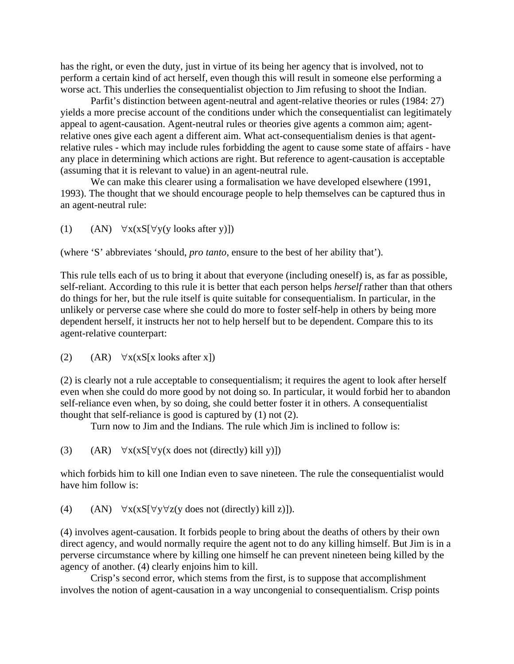has the right, or even the duty, just in virtue of its being her agency that is involved, not to perform a certain kind of act herself, even though this will result in someone else performing a worse act. This underlies the consequentialist objection to Jim refusing to shoot the Indian.

 Parfit's distinction between agent-neutral and agent-relative theories or rules (1984: 27) yields a more precise account of the conditions under which the consequentialist can legitimately appeal to agent-causation. Agent-neutral rules or theories give agents a common aim; agentrelative ones give each agent a different aim. What act-consequentialism denies is that agentrelative rules - which may include rules forbidding the agent to cause some state of affairs - have any place in determining which actions are right. But reference to agent-causation is acceptable (assuming that it is relevant to value) in an agent-neutral rule.

 We can make this clearer using a formalisation we have developed elsewhere (1991, 1993). The thought that we should encourage people to help themselves can be captured thus in an agent-neutral rule:

(1) (AN)  $\forall x(xS[\forall y(y looks after y)])$ 

(where 'S' abbreviates 'should, *pro tanto*, ensure to the best of her ability that').

This rule tells each of us to bring it about that everyone (including oneself) is, as far as possible, self-reliant. According to this rule it is better that each person helps *herself* rather than that others do things for her, but the rule itself is quite suitable for consequentialism. In particular, in the unlikely or perverse case where she could do more to foster self-help in others by being more dependent herself, it instructs her not to help herself but to be dependent. Compare this to its agent-relative counterpart:

(2) (AR)  $\forall x(xS[x] \text{ looks after } x])$ 

(2) is clearly not a rule acceptable to consequentialism; it requires the agent to look after herself even when she could do more good by not doing so. In particular, it would forbid her to abandon self-reliance even when, by so doing, she could better foster it in others. A consequentialist thought that self-reliance is good is captured by (1) not (2).

Turn now to Jim and the Indians. The rule which Jim is inclined to follow is:

(3) (AR)  $\forall x(xS[\forall y(x does not (directly) kill y)])$ 

which forbids him to kill one Indian even to save nineteen. The rule the consequentialist would have him follow is:

(4) (AN)  $\forall x(xS[\forall y \forall z(y \text{ does not (directly) kill } z)]).$ 

(4) involves agent-causation. It forbids people to bring about the deaths of others by their own direct agency, and would normally require the agent not to do any killing himself. But Jim is in a perverse circumstance where by killing one himself he can prevent nineteen being killed by the agency of another. (4) clearly enjoins him to kill.

 Crisp's second error, which stems from the first, is to suppose that accomplishment involves the notion of agent-causation in a way uncongenial to consequentialism. Crisp points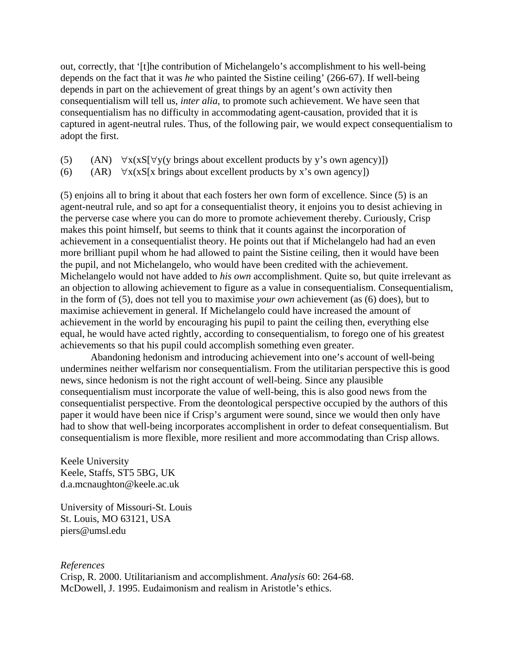out, correctly, that '[t]he contribution of Michelangelo's accomplishment to his well-being depends on the fact that it was *he* who painted the Sistine ceiling' (266-67). If well-being depends in part on the achievement of great things by an agent's own activity then consequentialism will tell us, *inter alia*, to promote such achievement. We have seen that consequentialism has no difficulty in accommodating agent-causation, provided that it is captured in agent-neutral rules. Thus, of the following pair, we would expect consequentialism to adopt the first.

- (5) (AN)  $\forall x(xS[\forall y(y \text{ brings about excellent products by } y's \text{ own agency})])$
- (6) (AR)  $\forall x(xS[x] \text{ brings about excellent products by } x\text{'s own agency}$ )

(5) enjoins all to bring it about that each fosters her own form of excellence. Since (5) is an agent-neutral rule, and so apt for a consequentialist theory, it enjoins you to desist achieving in the perverse case where you can do more to promote achievement thereby. Curiously, Crisp makes this point himself, but seems to think that it counts against the incorporation of achievement in a consequentialist theory. He points out that if Michelangelo had had an even more brilliant pupil whom he had allowed to paint the Sistine ceiling, then it would have been the pupil, and not Michelangelo, who would have been credited with the achievement. Michelangelo would not have added to *his own* accomplishment. Quite so, but quite irrelevant as an objection to allowing achievement to figure as a value in consequentialism. Consequentialism, in the form of (5), does not tell you to maximise *your own* achievement (as (6) does), but to maximise achievement in general. If Michelangelo could have increased the amount of achievement in the world by encouraging his pupil to paint the ceiling then, everything else equal, he would have acted rightly, according to consequentialism, to forego one of his greatest achievements so that his pupil could accomplish something even greater.

 Abandoning hedonism and introducing achievement into one's account of well-being undermines neither welfarism nor consequentialism. From the utilitarian perspective this is good news, since hedonism is not the right account of well-being. Since any plausible consequentialism must incorporate the value of well-being, this is also good news from the consequentialist perspective. From the deontological perspective occupied by the authors of this paper it would have been nice if Crisp's argument were sound, since we would then only have had to show that well-being incorporates accomplishent in order to defeat consequentialism. But consequentialism is more flexible, more resilient and more accommodating than Crisp allows.

Keele University Keele, Staffs, ST5 5BG, UK d.a.mcnaughton@keele.ac.uk

University of Missouri-St. Louis St. Louis, MO 63121, USA piers@umsl.edu

## *References*

Crisp, R. 2000. Utilitarianism and accomplishment. *Analysis* 60: 264-68. McDowell, J. 1995. Eudaimonism and realism in Aristotle's ethics.